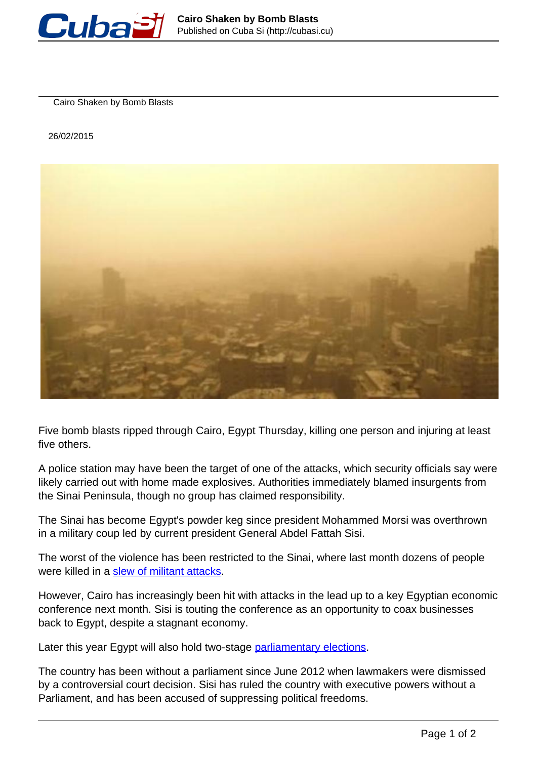

Cairo Shaken by Bomb Blasts

26/02/2015



Five bomb blasts ripped through Cairo, Egypt Thursday, killing one person and injuring at least five others.

A police station may have been the target of one of the attacks, which security officials say were likely carried out with home made explosives. Authorities immediately blamed insurgents from the Sinai Peninsula, though no group has claimed responsibility.

The Sinai has become Egypt's powder keg since president Mohammed Morsi was overthrown in a military coup led by current president General Abdel Fattah Sisi.

The worst of the violence has been restricted to the Sinai, where last month dozens of people were killed in a [slew of militant attacks](http://www.telesurtv.net/english/news/Death-Toll-from-Attacks-on-Egypts-Sinai-Increases-to-27-20150129-0026.html).

However, Cairo has increasingly been hit with attacks in the lead up to a key Egyptian economic conference next month. Sisi is touting the conference as an opportunity to coax businesses back to Egypt, despite a stagnant economy.

Later this year Egypt will also hold two-stage parliamentary elections.

The country has been without a parliament since June 2012 when lawmakers were dismissed by a controversial court decision. Sisi has ruled the country with executive powers without a Parliament, and has been accused of suppressing political freedoms.